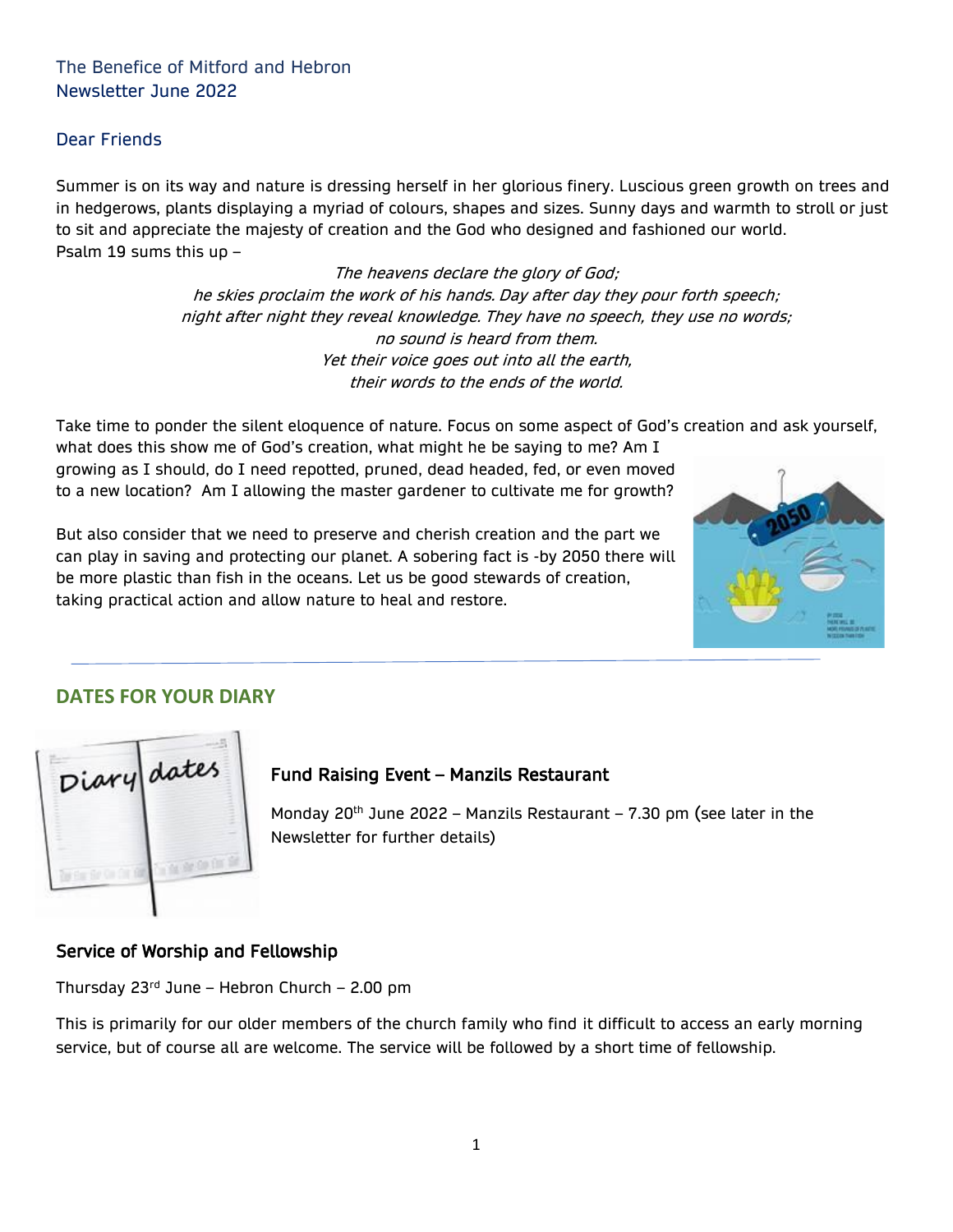## The Benefice of Mitford and Hebron Newsletter June 2022

### Dear Friends

Summer is on its way and nature is dressing herself in her glorious finery. Luscious green growth on trees and in hedgerows, plants displaying a myriad of colours, shapes and sizes. Sunny days and warmth to stroll or just to sit and appreciate the majesty of creation and the God who designed and fashioned our world. Psalm 19 sums this up –

> The heavens declare the glory of God; he skies proclaim the work of his hands. Day after day they pour forth speech; night after night they reveal knowledge. They have no speech, they use no words; no sound is heard from them. Yet their voice goes out into all the earth, their words to the ends of the world.

Take time to ponder the silent eloquence of nature. Focus on some aspect of God's creation and ask yourself,

what does this show me of God's creation, what might he be saying to me? Am I growing as I should, do I need repotted, pruned, dead headed, fed, or even moved to a new location? Am I allowing the master gardener to cultivate me for growth?

But also consider that we need to preserve and cherish creation and the part we can play in saving and protecting our planet. A sobering fact is -by 2050 there will be more plastic than fish in the oceans. Let us be good stewards of creation, taking practical action and allow nature to heal and restore.



## **DATES FOR YOUR DIARY**



## Fund Raising Event – Manzils Restaurant

Monday 20<sup>th</sup> June 2022 – Manzils Restaurant – 7.30 pm (see later in the Newsletter for further details)

### Service of Worship and Fellowship

Thursday  $23^{rd}$  June – Hebron Church – 2.00 pm

This is primarily for our older members of the church family who find it difficult to access an early morning service, but of course all are welcome. The service will be followed by a short time of fellowship.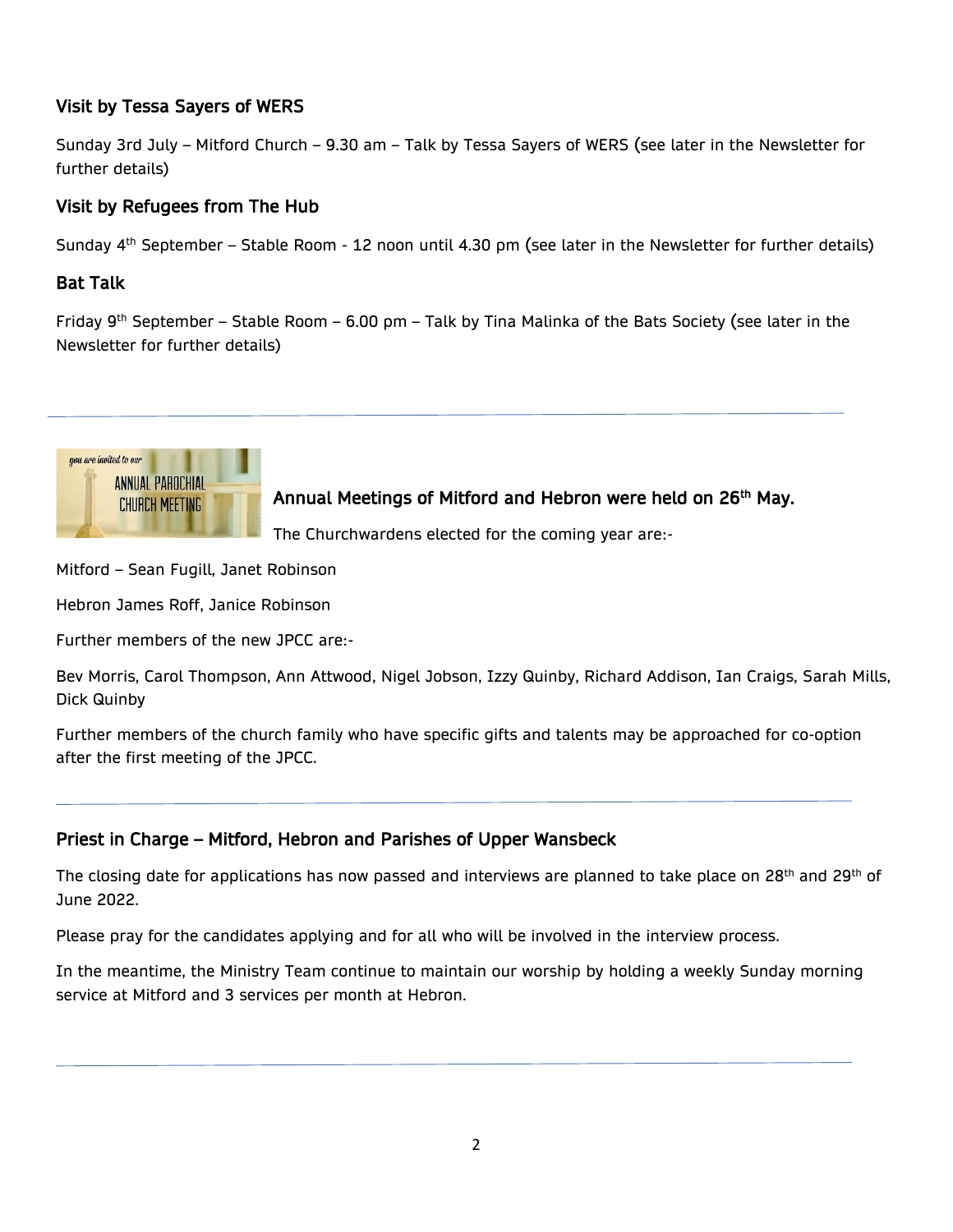## Visit by Tessa Sayers of WERS

Sunday 3rd July – Mitford Church – 9.30 am – Talk by Tessa Sayers of WERS (see later in the Newsletter for further details)

## Visit by Refugees from The Hub

Sunday 4<sup>th</sup> September - Stable Room - 12 noon until 4.30 pm (see later in the Newsletter for further details)

## Bat Talk

İ

I

Friday 9th September – Stable Room – 6.00 pm – Talk by Tina Malinka of the Bats Society (see later in the Newsletter for further details)



Annual Meetings of Mitford and Hebron were held on 26<sup>th</sup> May.

The Churchwardens elected for the coming year are:-

Mitford – Sean Fugill, Janet Robinson

Hebron James Roff, Janice Robinson

Further members of the new JPCC are:-

Bev Morris, Carol Thompson, Ann Attwood, Nigel Jobson, Izzy Quinby, Richard Addison, Ian Craigs, Sarah Mills, Dick Quinby

Further members of the church family who have specific gifts and talents may be approached for co-option after the first meeting of the JPCC.

## Priest in Charge – Mitford, Hebron and Parishes of Upper Wansbeck

The closing date for applications has now passed and interviews are planned to take place on 28<sup>th</sup> and 29<sup>th</sup> of June 2022.

Please pray for the candidates applying and for all who will be involved in the interview process.

In the meantime, the Ministry Team continue to maintain our worship by holding a weekly Sunday morning service at Mitford and 3 services per month at Hebron.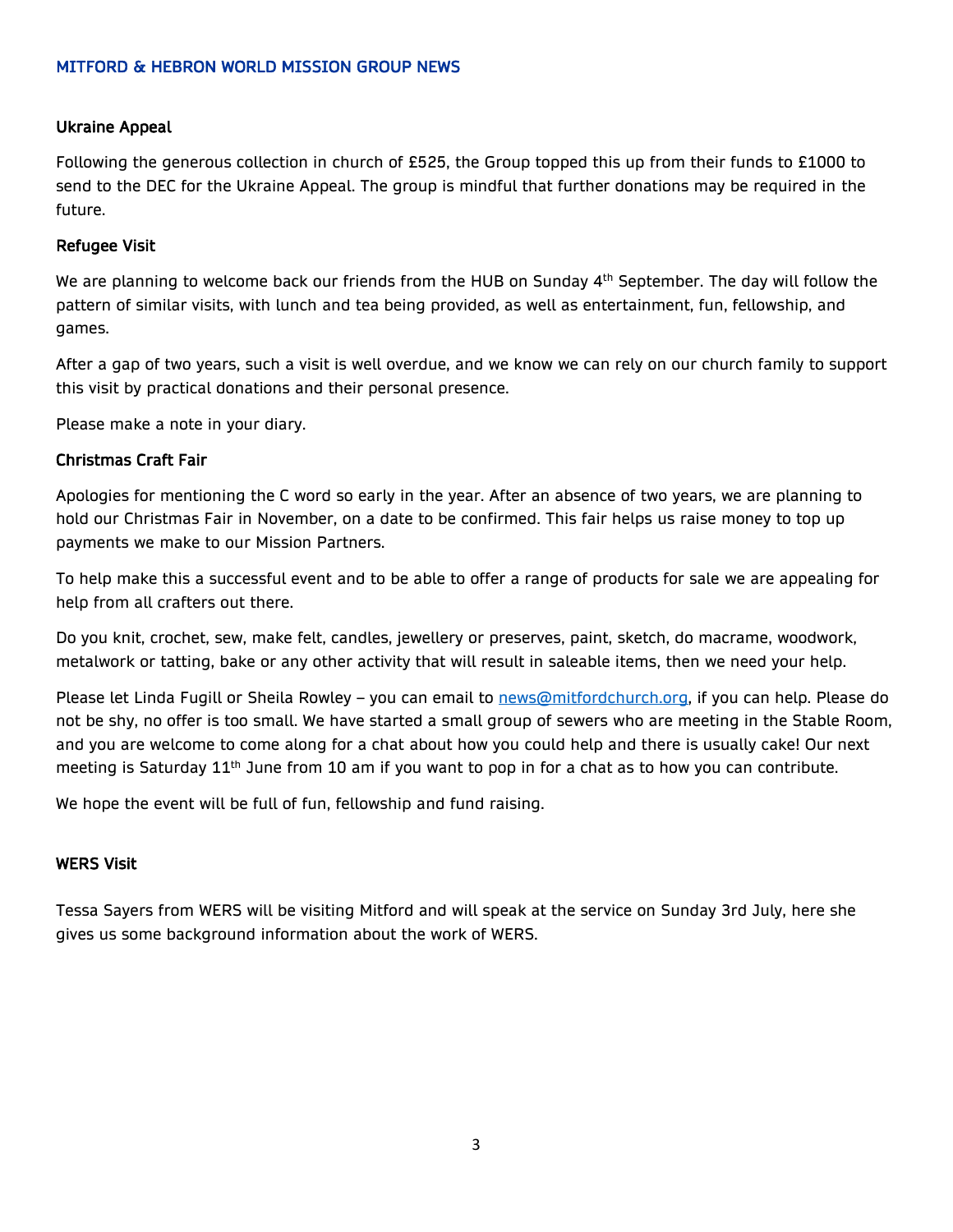### MITFORD & HEBRON WORLD MISSION GROUP NEWS

### Ukraine Appeal

Following the generous collection in church of £525, the Group topped this up from their funds to £1000 to send to the DEC for the Ukraine Appeal. The group is mindful that further donations may be required in the future.

### Refugee Visit

We are planning to welcome back our friends from the HUB on Sunday 4<sup>th</sup> September. The day will follow the pattern of similar visits, with lunch and tea being provided, as well as entertainment, fun, fellowship, and games.

After a gap of two years, such a visit is well overdue, and we know we can rely on our church family to support this visit by practical donations and their personal presence.

Please make a note in your diary.

#### Christmas Craft Fair

Apologies for mentioning the C word so early in the year. After an absence of two years, we are planning to hold our Christmas Fair in November, on a date to be confirmed. This fair helps us raise money to top up payments we make to our Mission Partners.

To help make this a successful event and to be able to offer a range of products for sale we are appealing for help from all crafters out there.

Do you knit, crochet, sew, make felt, candles, jewellery or preserves, paint, sketch, do macrame, woodwork, metalwork or tatting, bake or any other activity that will result in saleable items, then we need your help.

Please let Linda Fugill or Sheila Rowley – you can email to [news@mitfordchurch.org,](mailto:news@mitfordchurch.org) if you can help. Please do not be shy, no offer is too small. We have started a small group of sewers who are meeting in the Stable Room, and you are welcome to come along for a chat about how you could help and there is usually cake! Our next meeting is Saturday 11<sup>th</sup> June from 10 am if you want to pop in for a chat as to how you can contribute.

We hope the event will be full of fun, fellowship and fund raising.

### WERS Visit

Tessa Sayers from WERS will be visiting Mitford and will speak at the service on Sunday 3rd July, here she gives us some background information about the work of WERS.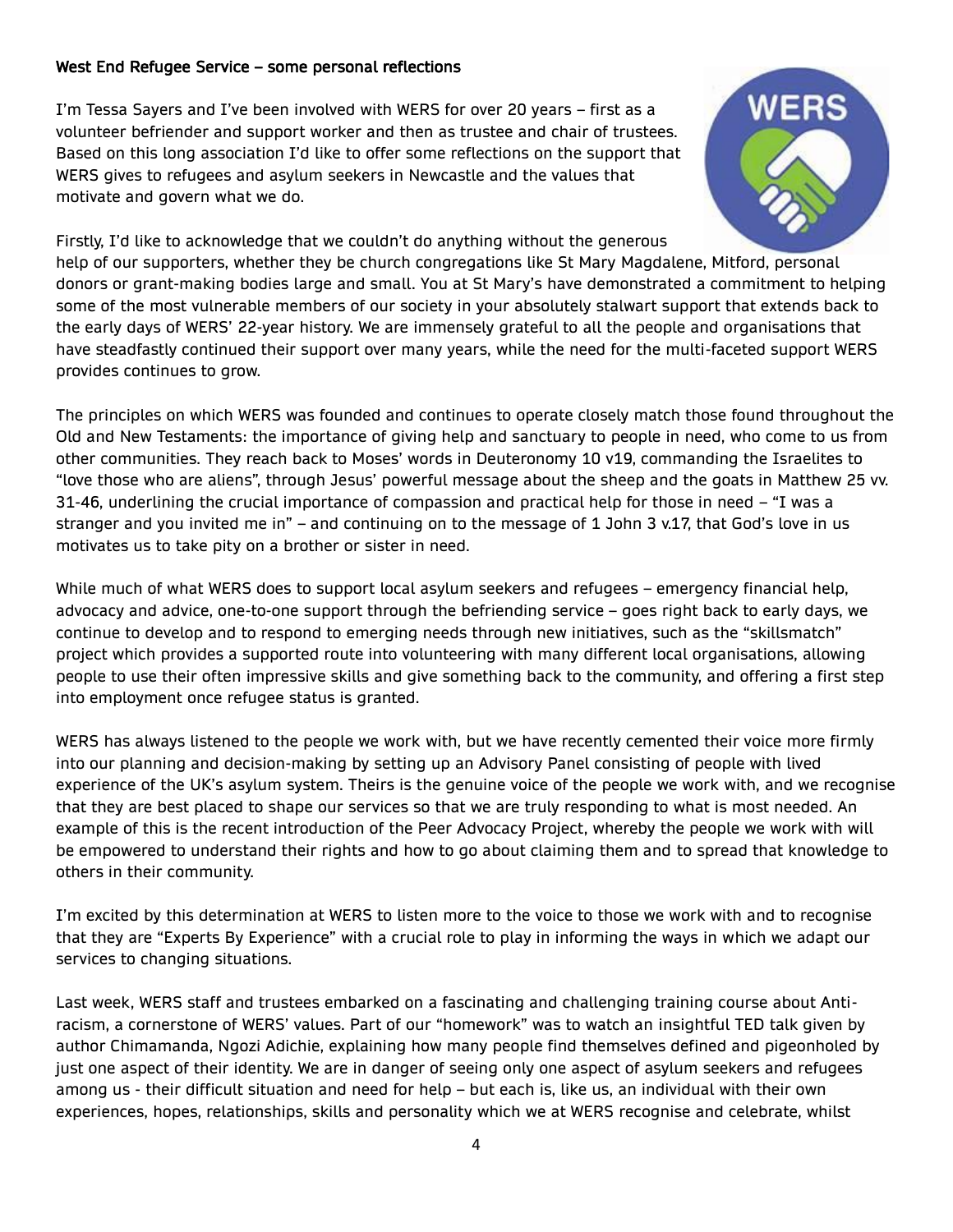### West End Refugee Service – some personal reflections

I'm Tessa Sayers and I've been involved with WERS for over 20 years – first as a volunteer befriender and support worker and then as trustee and chair of trustees. Based on this long association I'd like to offer some reflections on the support that WERS gives to refugees and asylum seekers in Newcastle and the values that motivate and govern what we do.



Firstly, I'd like to acknowledge that we couldn't do anything without the generous help of our supporters, whether they be church congregations like St Mary Magdalene, Mitford, personal donors or grant-making bodies large and small. You at St Mary's have demonstrated a commitment to helping some of the most vulnerable members of our society in your absolutely stalwart support that extends back to the early days of WERS' 22-year history. We are immensely grateful to all the people and organisations that have steadfastly continued their support over many years, while the need for the multi-faceted support WERS provides continues to grow.

The principles on which WERS was founded and continues to operate closely match those found throughout the Old and New Testaments: the importance of giving help and sanctuary to people in need, who come to us from other communities. They reach back to Moses' words in Deuteronomy 10 v19, commanding the Israelites to "love those who are aliens", through Jesus' powerful message about the sheep and the goats in Matthew 25 vv. 31-46, underlining the crucial importance of compassion and practical help for those in need – "I was a stranger and you invited me in" – and continuing on to the message of 1 John 3 v.17, that God's love in us motivates us to take pity on a brother or sister in need.

While much of what WERS does to support local asylum seekers and refugees - emergency financial help, advocacy and advice, one-to-one support through the befriending service – goes right back to early days, we continue to develop and to respond to emerging needs through new initiatives, such as the "skillsmatch" project which provides a supported route into volunteering with many different local organisations, allowing people to use their often impressive skills and give something back to the community, and offering a first step into employment once refugee status is granted.

WERS has always listened to the people we work with, but we have recently cemented their voice more firmly into our planning and decision-making by setting up an Advisory Panel consisting of people with lived experience of the UK's asylum system. Theirs is the genuine voice of the people we work with, and we recognise that they are best placed to shape our services so that we are truly responding to what is most needed. An example of this is the recent introduction of the Peer Advocacy Project, whereby the people we work with will be empowered to understand their rights and how to go about claiming them and to spread that knowledge to others in their community.

I'm excited by this determination at WERS to listen more to the voice to those we work with and to recognise that they are "Experts By Experience" with a crucial role to play in informing the ways in which we adapt our services to changing situations.

Last week, WERS staff and trustees embarked on a fascinating and challenging training course about Antiracism, a cornerstone of WERS' values. Part of our "homework" was to watch an insightful TED talk given by author Chimamanda, Ngozi Adichie, explaining how many people find themselves defined and pigeonholed by just one aspect of their identity. We are in danger of seeing only one aspect of asylum seekers and refugees among us - their difficult situation and need for help – but each is, like us, an individual with their own experiences, hopes, relationships, skills and personality which we at WERS recognise and celebrate, whilst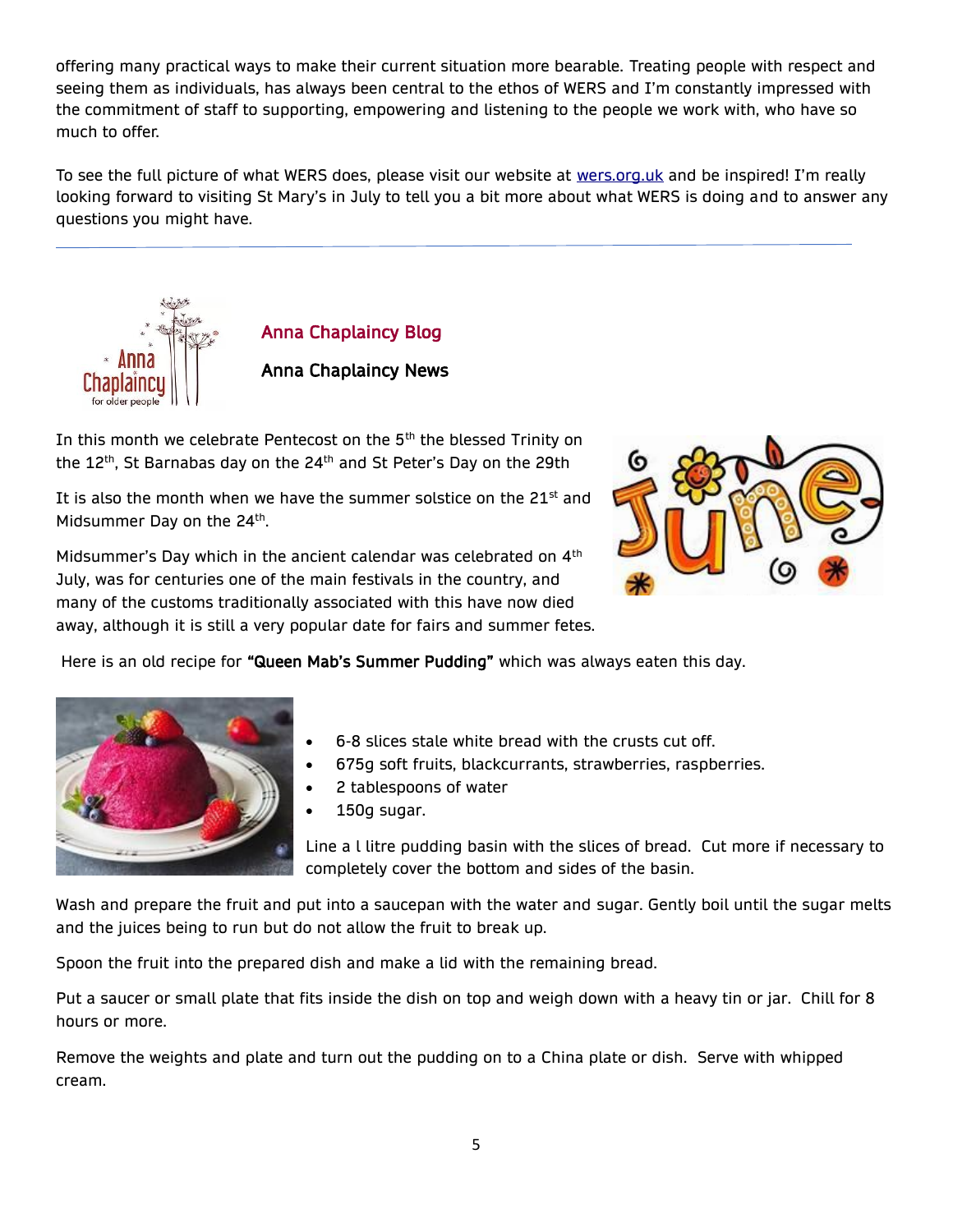offering many practical ways to make their current situation more bearable. Treating people with respect and seeing them as individuals, has always been central to the ethos of WERS and I'm constantly impressed with the commitment of staff to supporting, empowering and listening to the people we work with, who have so much to offer.

To see the full picture of what WERS does, please visit our website at [wers.org.uk](https://www.wers.org.uk/) and be inspired! I'm really looking forward to visiting St Mary's in July to tell you a bit more about what WERS is doing and to answer any questions you might have.



Anna Chaplaincy Blog

## Anna Chaplaincy News

In this month we celebrate Pentecost on the 5<sup>th</sup> the blessed Trinity on the 12<sup>th</sup>, St Barnabas day on the 24<sup>th</sup> and St Peter's Day on the 29th

It is also the month when we have the summer solstice on the  $21<sup>st</sup>$  and Midsummer Day on the 24<sup>th</sup>.

Midsummer's Day which in the ancient calendar was celebrated on 4<sup>th</sup> July, was for centuries one of the main festivals in the country, and many of the customs traditionally associated with this have now died away, although it is still a very popular date for fairs and summer fetes.



Here is an old recipe for "Queen Mab's Summer Pudding" which was always eaten this day.



- 6-8 slices stale white bread with the crusts cut off.
- 675g soft fruits, blackcurrants, strawberries, raspberries.
- 2 tablespoons of water
- 150g sugar.

Line a l litre pudding basin with the slices of bread. Cut more if necessary to completely cover the bottom and sides of the basin.

Wash and prepare the fruit and put into a saucepan with the water and sugar. Gently boil until the sugar melts and the juices being to run but do not allow the fruit to break up.

Spoon the fruit into the prepared dish and make a lid with the remaining bread.

Put a saucer or small plate that fits inside the dish on top and weigh down with a heavy tin or jar. Chill for 8 hours or more.

Remove the weights and plate and turn out the pudding on to a China plate or dish. Serve with whipped cream.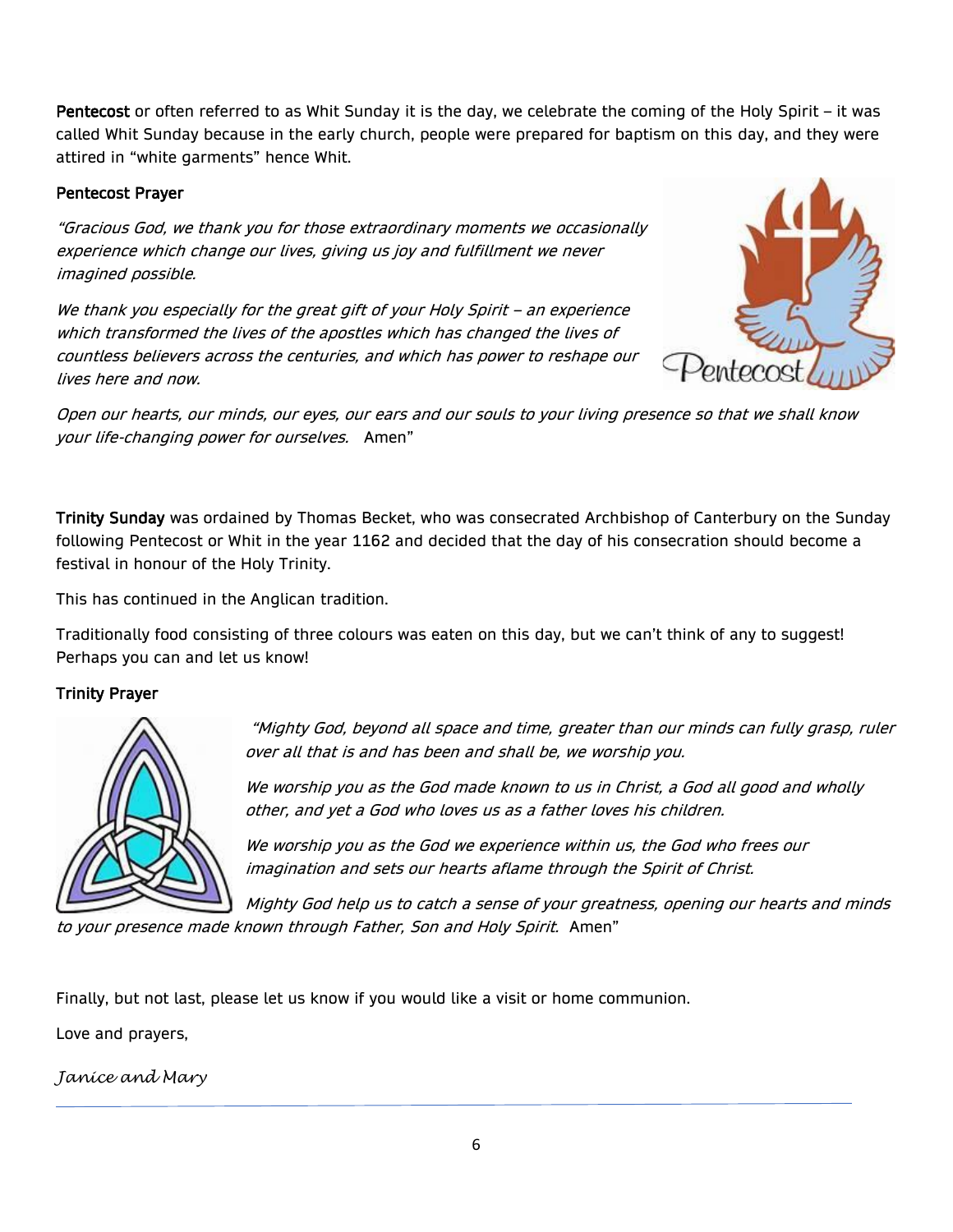Pentecost or often referred to as Whit Sunday it is the day, we celebrate the coming of the Holy Spirit – it was called Whit Sunday because in the early church, people were prepared for baptism on this day, and they were attired in "white garments" hence Whit.

### Pentecost Prayer

"Gracious God, we thank you for those extraordinary moments we occasionally experience which change our lives, giving us joy and fulfillment we never imagined possible.

We thank you especially for the great gift of your Holy Spirit – an experience which transformed the lives of the apostles which has changed the lives of countless believers across the centuries, and which has power to reshape our lives here and now.



Open our hearts, our minds, our eyes, our ears and our souls to your living presence so that we shall know your life-changing power for ourselves. Amen"

Trinity Sunday was ordained by Thomas Becket, who was consecrated Archbishop of Canterbury on the Sunday following Pentecost or Whit in the year 1162 and decided that the day of his consecration should become a festival in honour of the Holy Trinity.

This has continued in the Anglican tradition.

Traditionally food consisting of three colours was eaten on this day, but we can't think of any to suggest! Perhaps you can and let us know!

### Trinity Prayer



"Mighty God, beyond all space and time, greater than our minds can fully grasp, ruler over all that is and has been and shall be, we worship you.

We worship you as the God made known to us in Christ, a God all good and wholly other, and yet a God who loves us as a father loves his children.

We worship you as the God we experience within us, the God who frees our imagination and sets our hearts aflame through the Spirit of Christ.

Mighty God help us to catch a sense of your greatness, opening our hearts and minds to your presence made known through Father, Son and Holy Spirit. Amen"

Finally, but not last, please let us know if you would like a visit or home communion.

Love and prayers,

*Janice and Mary*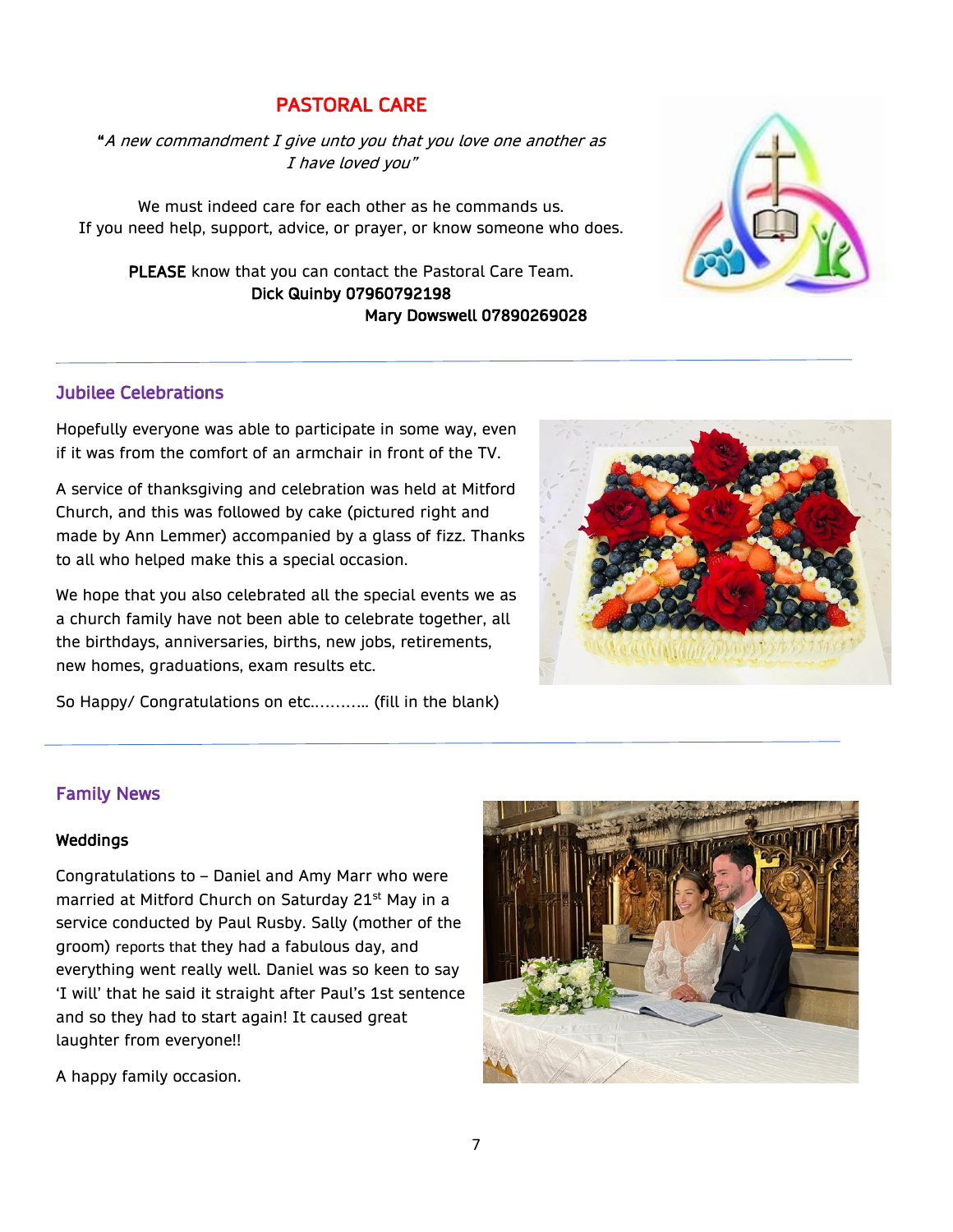## PASTORAL CARE

"A new commandment I give unto you that you love one another as I have loved you"

We must indeed care for each other as he commands us. If you need help, support, advice, or prayer, or know someone who does.

PLEASE know that you can contact the Pastoral Care Team. Dick Quinby 07960792198 Mary Dowswell 07890269028

### Jubilee Celebrations

Hopefully everyone was able to participate in some way, even if it was from the comfort of an armchair in front of the TV.

made by Ann Lemmer) accompanied by a glass of fizz. Thanks

We hope that you also celebrated all the special events we as a church family have not been able to celebrate together, all the birthdays, anniversaries, births, new jobs, retirements, new homes, graduations, exam results etc.

So Happy/ Congratulations on etc.……….. (fill in the blank)

Congratulations to – Daniel and Amy Marr who were married at Mitford Church on Saturday 21<sup>st</sup> May in a service conducted by Paul Rusby. Sally (mother of the

everything went really well. Daniel was so keen to say

groom) reports that they had a fabulous day, and

and so they had to start again! It caused great



A happy family occasion.

laughter from everyone!!

Family News

Weddings

A service of thanksgiving and celebration was held at Mitford Church, and this was followed by cake (pictured right and to all who helped make this a special occasion.

**ATT ANGULARIA** 

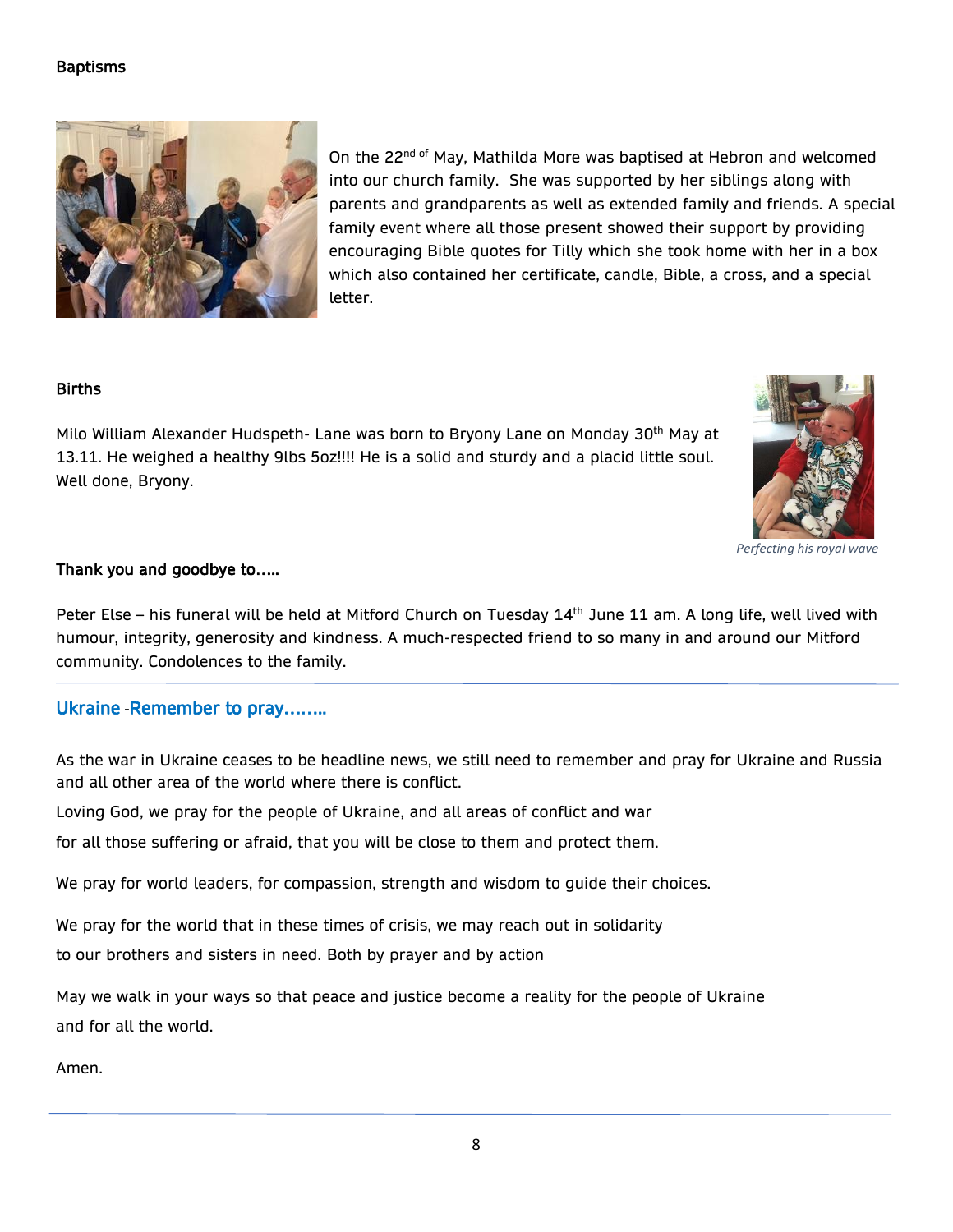### **Baptisms**



On the 22<sup>nd of</sup> May, Mathilda More was baptised at Hebron and welcomed into our church family. She was supported by her siblings along with parents and grandparents as well as extended family and friends. A special family event where all those present showed their support by providing encouraging Bible quotes for Tilly which she took home with her in a box which also contained her certificate, candle, Bible, a cross, and a special letter.

### **Births**

Milo William Alexander Hudspeth- Lane was born to Bryony Lane on Monday 30<sup>th</sup> May at 13.11. He weighed a healthy 9lbs 5oz!!!! He is a solid and sturdy and a placid little soul. Well done, Bryony.



*Perfecting his royal wave* 

### Thank you and goodbye to…..

Peter Else - his funeral will be held at Mitford Church on Tuesday 14<sup>th</sup> June 11 am. A long life, well lived with humour, integrity, generosity and kindness. A much-respected friend to so many in and around our Mitford community. Condolences to the family.

### Ukraine -Remember to pray……..

As the war in Ukraine ceases to be headline news, we still need to remember and pray for Ukraine and Russia and all other area of the world where there is conflict.

Loving God, we pray for the people of Ukraine, and all areas of conflict and war

for all those suffering or afraid, that you will be close to them and protect them.

We pray for world leaders, for compassion, strength and wisdom to guide their choices.

We pray for the world that in these times of crisis, we may reach out in solidarity

to our brothers and sisters in need. Both by prayer and by action

May we walk in your ways so that peace and justice become a reality for the people of Ukraine and for all the world.

Amen.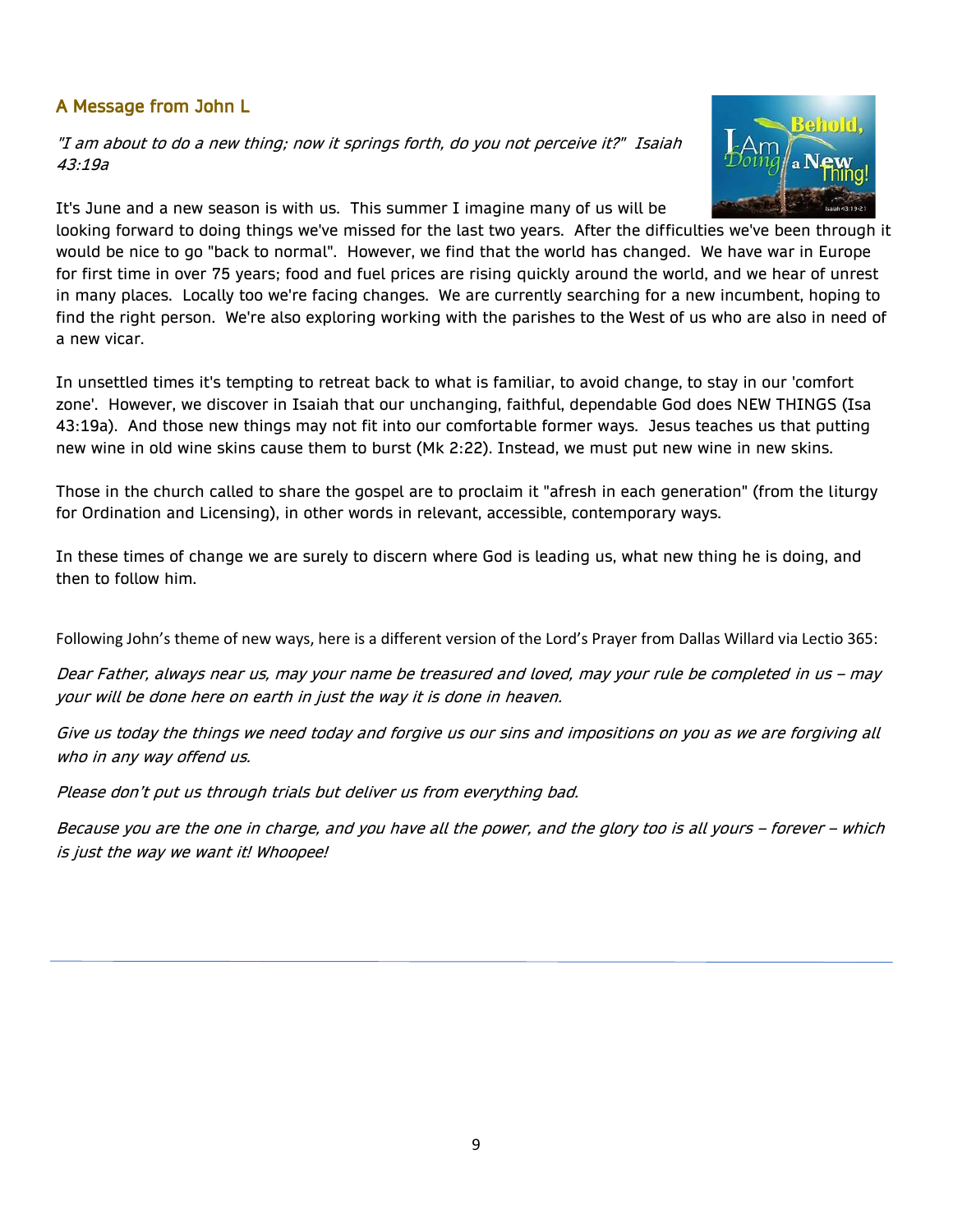## A Message from John L

"I am about to do a new thing; now it springs forth, do you not perceive it?" Isaiah 43:19a

It's June and a new season is with us. This summer I imagine many of us will be



looking forward to doing things we've missed for the last two years. After the difficulties we've been through it would be nice to go "back to normal". However, we find that the world has changed. We have war in Europe for first time in over 75 years; food and fuel prices are rising quickly around the world, and we hear of unrest in many places. Locally too we're facing changes. We are currently searching for a new incumbent, hoping to find the right person. We're also exploring working with the parishes to the West of us who are also in need of a new vicar.

In unsettled times it's tempting to retreat back to what is familiar, to avoid change, to stay in our 'comfort zone'. However, we discover in Isaiah that our unchanging, faithful, dependable God does NEW THINGS (Isa 43:19a). And those new things may not fit into our comfortable former ways. Jesus teaches us that putting new wine in old wine skins cause them to burst (Mk 2:22). Instead, we must put new wine in new skins.

Those in the church called to share the gospel are to proclaim it "afresh in each generation" (from the liturgy for Ordination and Licensing), in other words in relevant, accessible, contemporary ways.

In these times of change we are surely to discern where God is leading us, what new thing he is doing, and then to follow him.

Following John's theme of new ways, here is a different version of the Lord's Prayer from Dallas Willard via Lectio 365:

Dear Father, always near us, may your name be treasured and loved, may your rule be completed in us – may your will be done here on earth in just the way it is done in heaven.

Give us today the things we need today and forgive us our sins and impositions on you as we are forgiving all who in any way offend us.

Please don't put us through trials but deliver us from everything bad.

Because you are the one in charge, and you have all the power, and the glory too is all yours – forever – which is just the way we want it! Whoopee!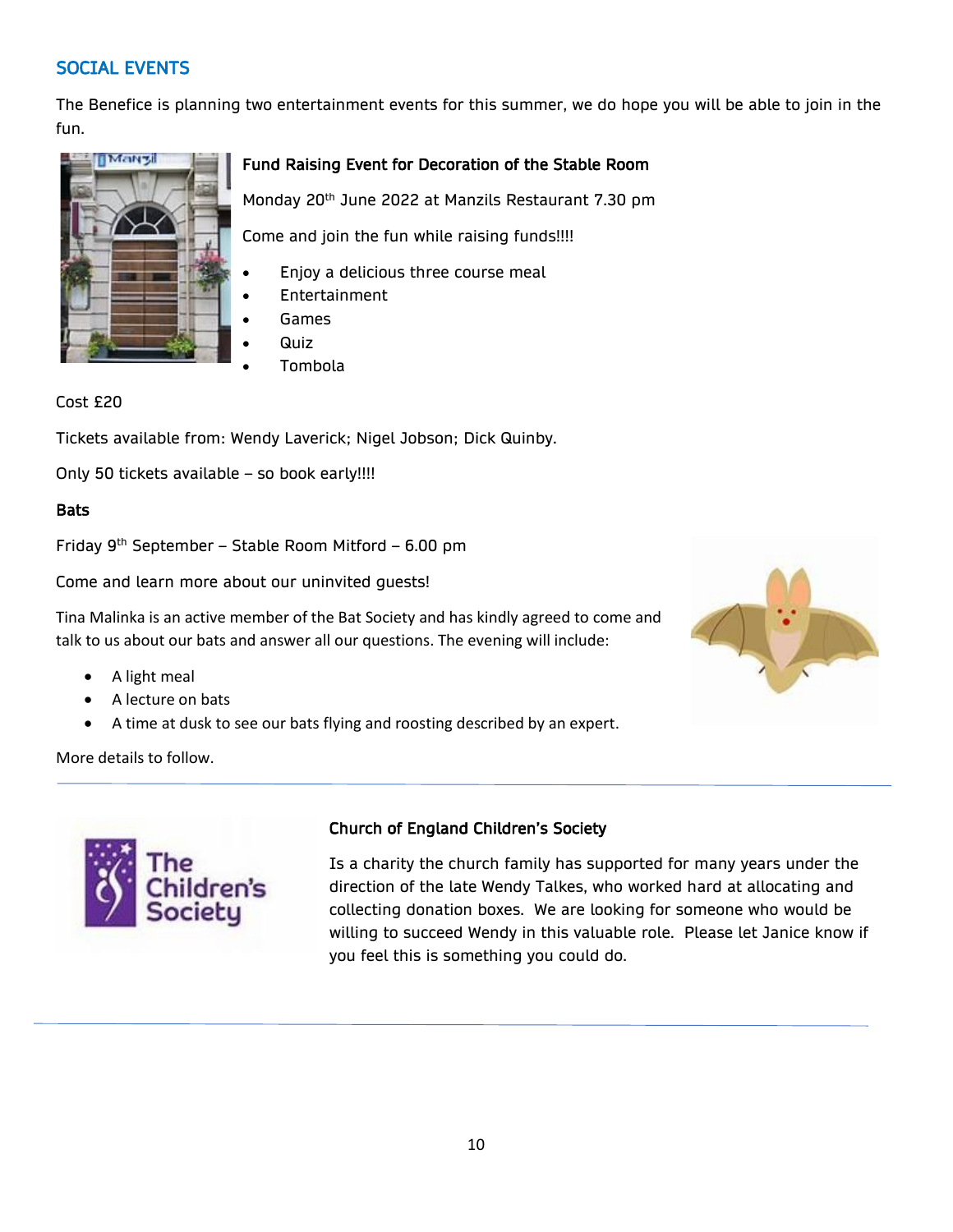## SOCIAL EVENTS

The Benefice is planning two entertainment events for this summer, we do hope you will be able to join in the fun.



### Fund Raising Event for Decoration of the Stable Room

Monday 20th June 2022 at Manzils Restaurant 7.30 pm

Come and join the fun while raising funds!!!!

- Enjoy a delicious three course meal
- **Entertainment**
- Games
- Quiz
- Tombola

#### Cost £20

Tickets available from: Wendy Laverick; Nigel Jobson; Dick Quinby.

Only 50 tickets available – so book early!!!!

#### **Bats**

Friday  $9<sup>th</sup>$  September – Stable Room Mitford – 6.00 pm

Come and learn more about our uninvited guests!

Tina Malinka is an active member of the Bat Society and has kindly agreed to come and talk to us about our bats and answer all our questions. The evening will include:

- A light meal
- A lecture on bats
- A time at dusk to see our bats flying and roosting described by an expert.



More details to follow.



### Church of England Children's Society

Is a charity the church family has supported for many years under the direction of the late Wendy Talkes, who worked hard at allocating and collecting donation boxes. We are looking for someone who would be willing to succeed Wendy in this valuable role. Please let Janice know if you feel this is something you could do.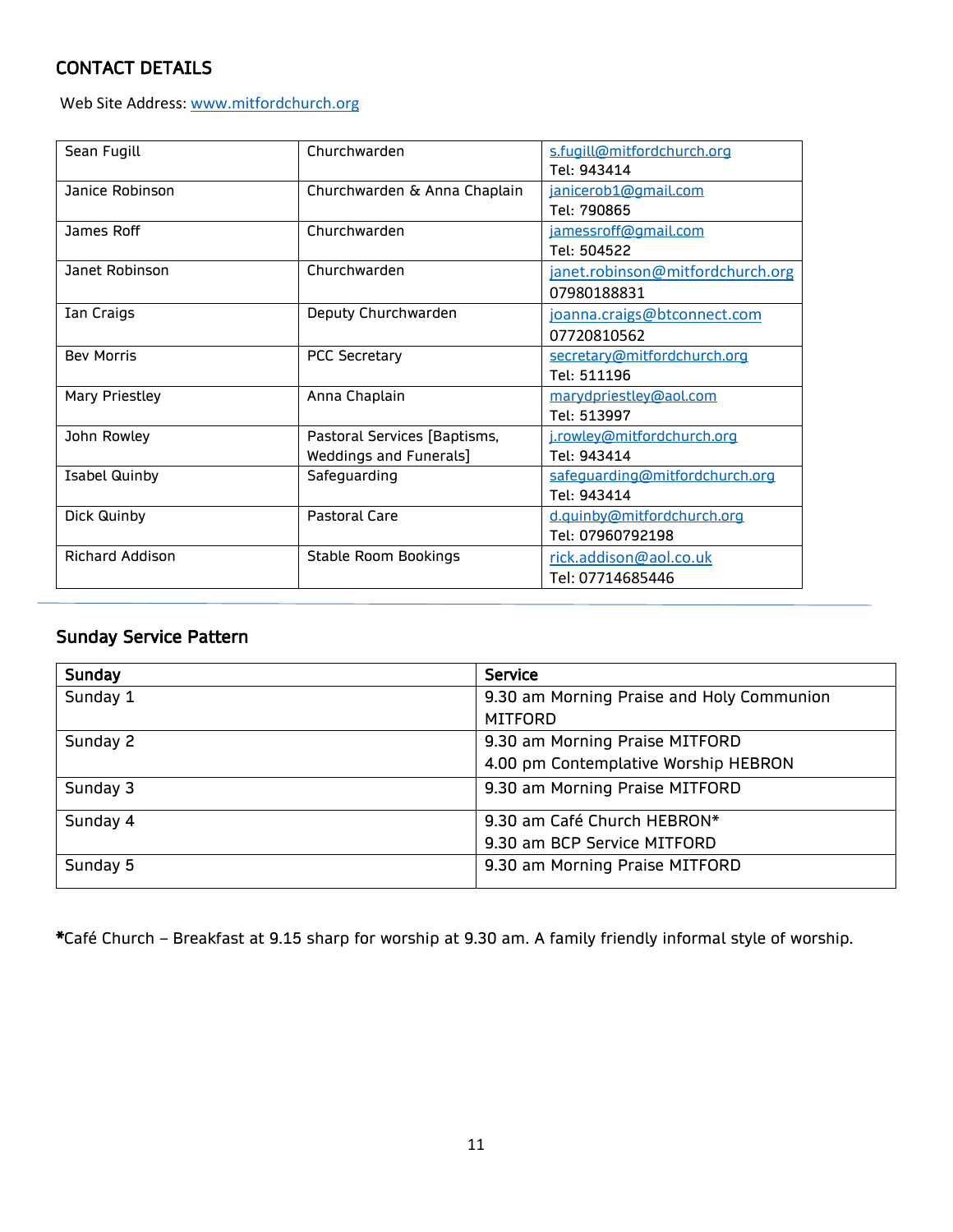# CONTACT DETAILS

Web Site Address[: www.mitfordchurch.org](http://www.mitfordchurch.org/)

| Sean Fugill            | Churchwarden                 | s.fugill@mitfordchurch.org       |  |
|------------------------|------------------------------|----------------------------------|--|
|                        |                              | Tel: 943414                      |  |
| Janice Robinson        | Churchwarden & Anna Chaplain | janicerob1@gmail.com             |  |
|                        |                              | Tel: 790865                      |  |
| James Roff             | Churchwarden                 | jamessroff@gmail.com             |  |
|                        |                              | Tel: 504522                      |  |
| Janet Robinson         | Churchwarden                 | janet.robinson@mitfordchurch.org |  |
|                        |                              | 07980188831                      |  |
| Ian Craigs             | Deputy Churchwarden          | joanna.craigs@btconnect.com      |  |
|                        |                              | 07720810562                      |  |
| <b>Bev Morris</b>      | <b>PCC Secretary</b>         | secretary@mitfordchurch.org      |  |
|                        |                              | Tel: 511196                      |  |
| Mary Priestley         | Anna Chaplain                | marydpriestley@aol.com           |  |
|                        |                              | Tel: 513997                      |  |
| John Rowley            | Pastoral Services [Baptisms, | j.rowley@mitfordchurch.org       |  |
|                        | Weddings and Funerals]       | Tel: 943414                      |  |
| <b>Isabel Quinby</b>   | Safeguarding                 | safeguarding@mitfordchurch.org   |  |
|                        |                              | Tel: 943414                      |  |
| Dick Quinby            | <b>Pastoral Care</b>         | d.quinby@mitfordchurch.org       |  |
|                        |                              | Tel: 07960792198                 |  |
| <b>Richard Addison</b> | <b>Stable Room Bookings</b>  | rick.addison@aol.co.uk           |  |
|                        |                              | Tel: 07714685446                 |  |

# Sunday Service Pattern

| Sunday   | <b>Service</b>                            |  |
|----------|-------------------------------------------|--|
| Sunday 1 | 9.30 am Morning Praise and Holy Communion |  |
|          | <b>MITFORD</b>                            |  |
| Sunday 2 | 9.30 am Morning Praise MITFORD            |  |
|          | 4.00 pm Contemplative Worship HEBRON      |  |
| Sunday 3 | 9.30 am Morning Praise MITFORD            |  |
| Sunday 4 | 9.30 am Café Church HEBRON*               |  |
|          | 9.30 am BCP Service MITFORD               |  |
| Sunday 5 | 9.30 am Morning Praise MITFORD            |  |

\*Café Church – Breakfast at 9.15 sharp for worship at 9.30 am. A family friendly informal style of worship.